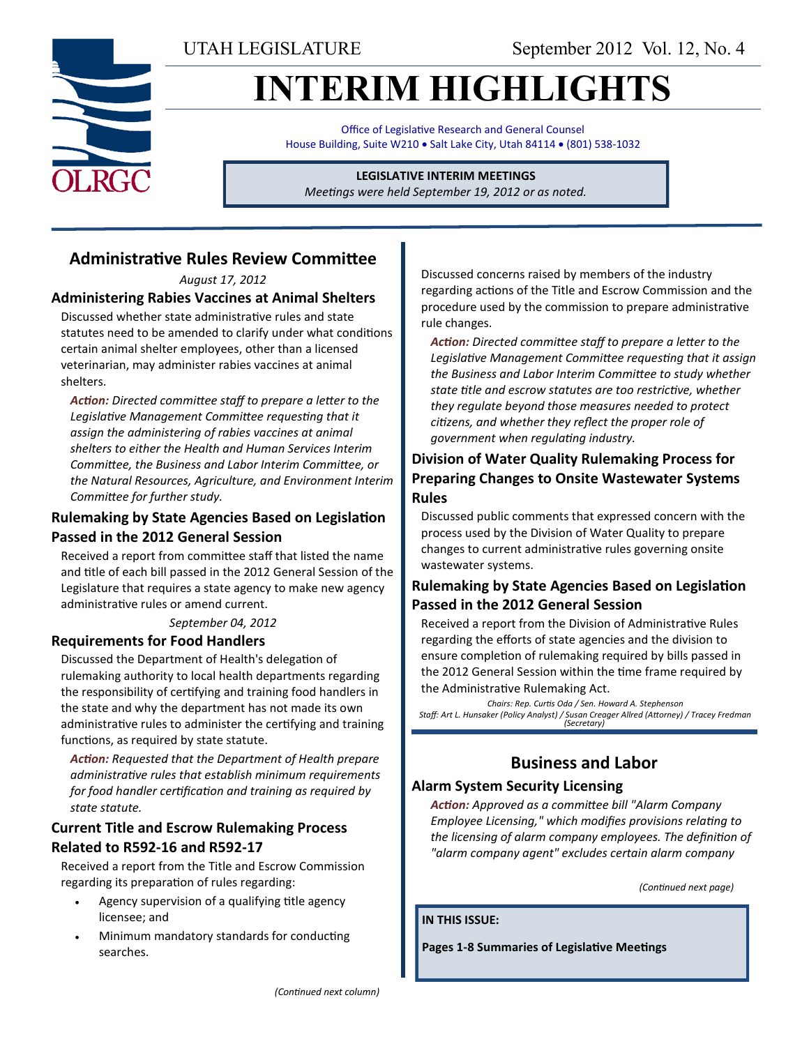UTAH LEGISLATURE September 2012 Vol. 12, No. 4

# **INTERIM HIGHLIGHTS**

Office of Legislative Research and General Counsel House Building, Suite W210 . Salt Lake City, Utah 84114 . (801) 538-1032

## **LEGISLATIVE INTERIM MEETINGS**

*Meetings were held September 19, 2012 or as noted.*

## **Administrative Rules Review Committee**

*August 17, 2012*

#### **Administering Rabies Vaccines at Animal Shelters**

Discussed whether state administrative rules and state statutes need to be amended to clarify under what conditions certain animal shelter employees, other than a licensed veterinarian, may administer rabies vaccines at animal shelters.

*Action: Directed committee staff to prepare a letter to the Legislative Management Committee requesting that it assign the administering of rabies vaccines at animal shelters to either the Health and Human Services Interim Committee, the Business and Labor Interim Committee, or the Natural Resources, Agriculture, and Environment Interim Committee for further study.*

#### **Rulemaking by State Agencies Based on Legislation Passed in the 2012 General Session**

Received a report from committee staff that listed the name and title of each bill passed in the 2012 General Session of the Legislature that requires a state agency to make new agency administrative rules or amend current.

#### *September 04, 2012*

#### **Requirements for Food Handlers**

Discussed the Department of Health's delegation of rulemaking authority to local health departments regarding the responsibility of certifying and training food handlers in the state and why the department has not made its own administrative rules to administer the certifying and training functions, as required by state statute.

*Action: Requested that the Department of Health prepare administrative rules that establish minimum requirements for food handler certification and training as required by state statute.*

#### **Current Title and Escrow Rulemaking Process Related to R592-16 and R592-17**

Received a report from the Title and Escrow Commission regarding its preparation of rules regarding:

- Agency supervision of a qualifying title agency licensee; and
- Minimum mandatory standards for conducting searches.

Discussed concerns raised by members of the industry regarding actions of the Title and Escrow Commission and the procedure used by the commission to prepare administrative rule changes.

*Action: Directed committee staff to prepare a letter to the Legislative Management Committee requesting that it assign the Business and Labor Interim Committee to study whether state title and escrow statutes are too restrictive, whether they regulate beyond those measures needed to protect citizens, and whether they reflect the proper role of government when regulating industry.*

#### **Division of Water Quality Rulemaking Process for Preparing Changes to Onsite Wastewater Systems Rules**

Discussed public comments that expressed concern with the process used by the Division of Water Quality to prepare changes to current administrative rules governing onsite wastewater systems.

### **Rulemaking by State Agencies Based on Legislation Passed in the 2012 General Session**

Received a report from the Division of Administrative Rules regarding the efforts of state agencies and the division to ensure completion of rulemaking required by bills passed in the 2012 General Session within the time frame required by the Administrative Rulemaking Act.

*Chairs: Rep. Curtis Oda / Sen. Howard A. Stephenson Staff: Art L. Hunsaker (Policy Analyst) / Susan Creager Allred (Attorney) / Tracey Fredman (Secretary)*

## **Business and Labor**

#### **Alarm System Security Licensing**

*Action: Approved as a committee bill "Alarm Company Employee Licensing," which modifies provisions relating to the licensing of alarm company employees. The definition of "alarm company agent" excludes certain alarm company* 

*(Continued next page)*

#### **IN THIS ISSUE:**

**Pages 1-8 Summaries of Legislative Meetings**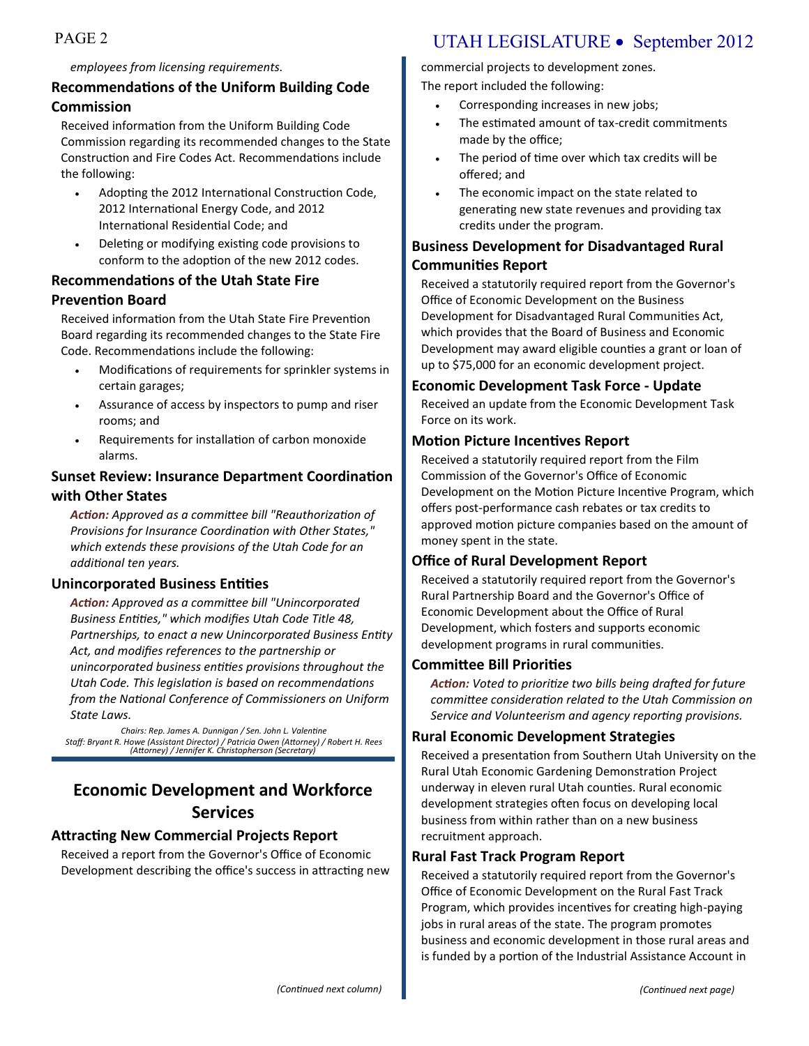#### *employees from licensing requirements.*

#### **Recommendations of the Uniform Building Code Commission**

Received information from the Uniform Building Code Commission regarding its recommended changes to the State Construction and Fire Codes Act. Recommendations include the following:

- Adopting the 2012 International Construction Code, 2012 International Energy Code, and 2012 International Residential Code; and
- Deleting or modifying existing code provisions to conform to the adoption of the new 2012 codes.

### **Recommendations of the Utah State Fire Prevention Board**

Received information from the Utah State Fire Prevention Board regarding its recommended changes to the State Fire Code. Recommendations include the following:

- Modifications of requirements for sprinkler systems in certain garages;
- Assurance of access by inspectors to pump and riser rooms; and
- Requirements for installation of carbon monoxide alarms.

#### **Sunset Review: Insurance Department Coordination with Other States**

*Action: Approved as a committee bill "Reauthorization of Provisions for Insurance Coordination with Other States," which extends these provisions of the Utah Code for an additional ten years.*

#### **Unincorporated Business Entities**

*Action: Approved as a committee bill "Unincorporated Business Entities," which modifies Utah Code Title 48, Partnerships, to enact a new Unincorporated Business Entity Act, and modifies references to the partnership or unincorporated business entities provisions throughout the Utah Code. This legislation is based on recommendations from the National Conference of Commissioners on Uniform State Laws.* 

*Chairs: Rep. James A. Dunnigan / Sen. John L. Valentine Staff: Bryant R. Howe (Assistant Director) / Patricia Owen (Attorney) / Robert H. Rees (Attorney) / Jennifer K. Christopherson (Secretary)*

## **Economic Development and Workforce Services**

#### **Attracting New Commercial Projects Report**

Received a report from the Governor's Office of Economic Development describing the office's success in attracting new

## PAGE 2 UTAH LEGISLATURE • September 2012

commercial projects to development zones.

The report included the following:

- Corresponding increases in new jobs;
- The estimated amount of tax-credit commitments made by the office;
- The period of time over which tax credits will be offered; and
- The economic impact on the state related to generating new state revenues and providing tax credits under the program.

### **Business Development for Disadvantaged Rural Communities Report**

Received a statutorily required report from the Governor's Office of Economic Development on the Business Development for Disadvantaged Rural Communities Act, which provides that the Board of Business and Economic Development may award eligible counties a grant or loan of up to \$75,000 for an economic development project.

#### **Economic Development Task Force - Update**

Received an update from the Economic Development Task Force on its work.

#### **Motion Picture Incentives Report**

Received a statutorily required report from the Film Commission of the Governor's Office of Economic Development on the Motion Picture Incentive Program, which offers post-performance cash rebates or tax credits to approved motion picture companies based on the amount of money spent in the state.

#### **Office of Rural Development Report**

Received a statutorily required report from the Governor's Rural Partnership Board and the Governor's Office of Economic Development about the Office of Rural Development, which fosters and supports economic development programs in rural communities.

#### **Committee Bill Priorities**

*Action: Voted to prioritize two bills being drafted for future committee consideration related to the Utah Commission on Service and Volunteerism and agency reporting provisions.*

#### **Rural Economic Development Strategies**

Received a presentation from Southern Utah University on the Rural Utah Economic Gardening Demonstration Project underway in eleven rural Utah counties. Rural economic development strategies often focus on developing local business from within rather than on a new business recruitment approach.

#### **Rural Fast Track Program Report**

Received a statutorily required report from the Governor's Office of Economic Development on the Rural Fast Track Program, which provides incentives for creating high-paying jobs in rural areas of the state. The program promotes business and economic development in those rural areas and is funded by a portion of the Industrial Assistance Account in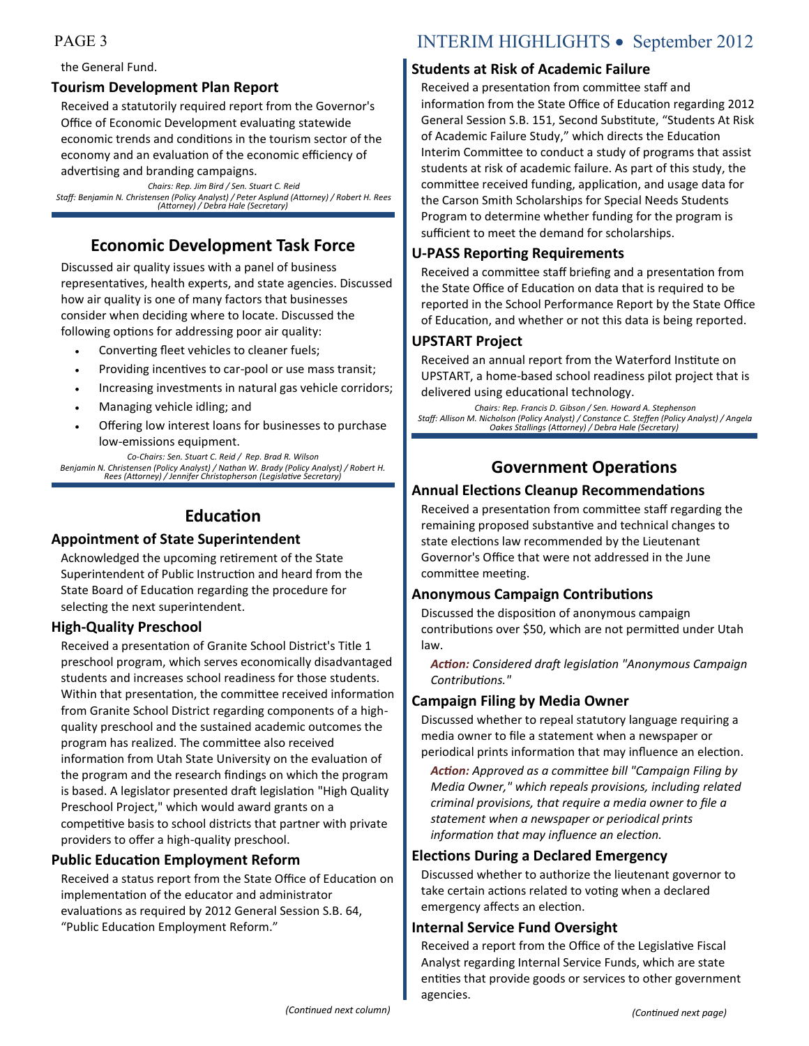#### the General Fund.

#### **Tourism Development Plan Report**

Received a statutorily required report from the Governor's Office of Economic Development evaluating statewide economic trends and conditions in the tourism sector of the economy and an evaluation of the economic efficiency of advertising and branding campaigns.

*Chairs: Rep. Jim Bird / Sen. Stuart C. Reid Staff: Benjamin N. Christensen (Policy Analyst) / Peter Asplund (Attorney) / Robert H. Rees (Attorney) / Debra Hale (Secretary)*

## **Economic Development Task Force**

Discussed air quality issues with a panel of business representatives, health experts, and state agencies. Discussed how air quality is one of many factors that businesses consider when deciding where to locate. Discussed the following options for addressing poor air quality:

- Converting fleet vehicles to cleaner fuels;
- Providing incentives to car-pool or use mass transit;
- Increasing investments in natural gas vehicle corridors;
- Managing vehicle idling; and
- Offering low interest loans for businesses to purchase low-emissions equipment.

*Co-Chairs: Sen. Stuart C. Reid / Rep. Brad R. Wilson Benjamin N. Christensen (Policy Analyst) / Nathan W. Brady (Policy Analyst) / Robert H. Rees (Attorney) / Jennifer Christopherson (Legislative Secretary)*

## **Education**

#### **Appointment of State Superintendent**

Acknowledged the upcoming retirement of the State Superintendent of Public Instruction and heard from the State Board of Education regarding the procedure for selecting the next superintendent.

#### **High-Quality Preschool**

Received a presentation of Granite School District's Title 1 preschool program, which serves economically disadvantaged students and increases school readiness for those students. Within that presentation, the committee received information from Granite School District regarding components of a highquality preschool and the sustained academic outcomes the program has realized. The committee also received information from Utah State University on the evaluation of the program and the research findings on which the program is based. A legislator presented draft legislation "High Quality Preschool Project," which would award grants on a competitive basis to school districts that partner with private providers to offer a high-quality preschool.

#### **Public Education Employment Reform**

Received a status report from the State Office of Education on implementation of the educator and administrator evaluations as required by 2012 General Session S.B. 64, "Public Education Employment Reform."

## PAGE 3 INTERIM HIGHLIGHTS • September 2012

#### **Students at Risk of Academic Failure**

Received a presentation from committee staff and information from the State Office of Education regarding 2012 General Session S.B. 151, [Second Substitute,](http://le.utah.gov/%7E2012/bills/static/SB0151.html) "Students At Risk of Academic Failure Study," which directs the Education Interim Committee to conduct a study of programs that assist students at risk of academic failure. As part of this study, the committee received funding, application, and usage data for the Carson Smith Scholarships for Special Needs Students Program to determine whether funding for the program is sufficient to meet the demand for scholarships.

#### **U-PASS Reporting Requirements**

Received a committee staff briefing and a presentation from the State Office of Education on data that is required to be reported in the School Performance Report by the State Office of Education, and whether or not this data is being reported.

#### **UPSTART Project**

Received an annual report from the Waterford Institute on UPSTART, a home-based school readiness pilot project that is delivered using educational technology.

*Chairs: Rep. Francis D. Gibson / Sen. Howard A. Stephenson Staff: Allison M. Nicholson (Policy Analyst) / Constance C. Steffen (Policy Analyst) / Angela Oakes Stallings (Attorney) / Debra Hale (Secretary)*

## **Government Operations**

#### **Annual Elections Cleanup Recommendations**

Received a presentation from committee staff regarding the remaining proposed substantive and technical changes to state elections law recommended by the Lieutenant Governor's Office that were not addressed in the June committee meeting.

#### **Anonymous Campaign Contributions**

Discussed the disposition of anonymous campaign contributions over \$50, which are not permitted under Utah law.

*Action: Considered draft legislation "Anonymous Campaign Contributions."* 

#### **Campaign Filing by Media Owner**

Discussed whether to repeal statutory language requiring a media owner to file a statement when a newspaper or periodical prints information that may influence an election.

*Action: Approved as a committee bill "Campaign Filing by Media Owner," which repeals provisions, including related criminal provisions, that require a media owner to file a statement when a newspaper or periodical prints information that may influence an election.*

#### **Elections During a Declared Emergency**

Discussed whether to authorize the lieutenant governor to take certain actions related to voting when a declared emergency affects an election.

#### **Internal Service Fund Oversight**

Received a report from the Office of the Legislative Fiscal Analyst regarding Internal Service Funds, which are state entities that provide goods or services to other government agencies.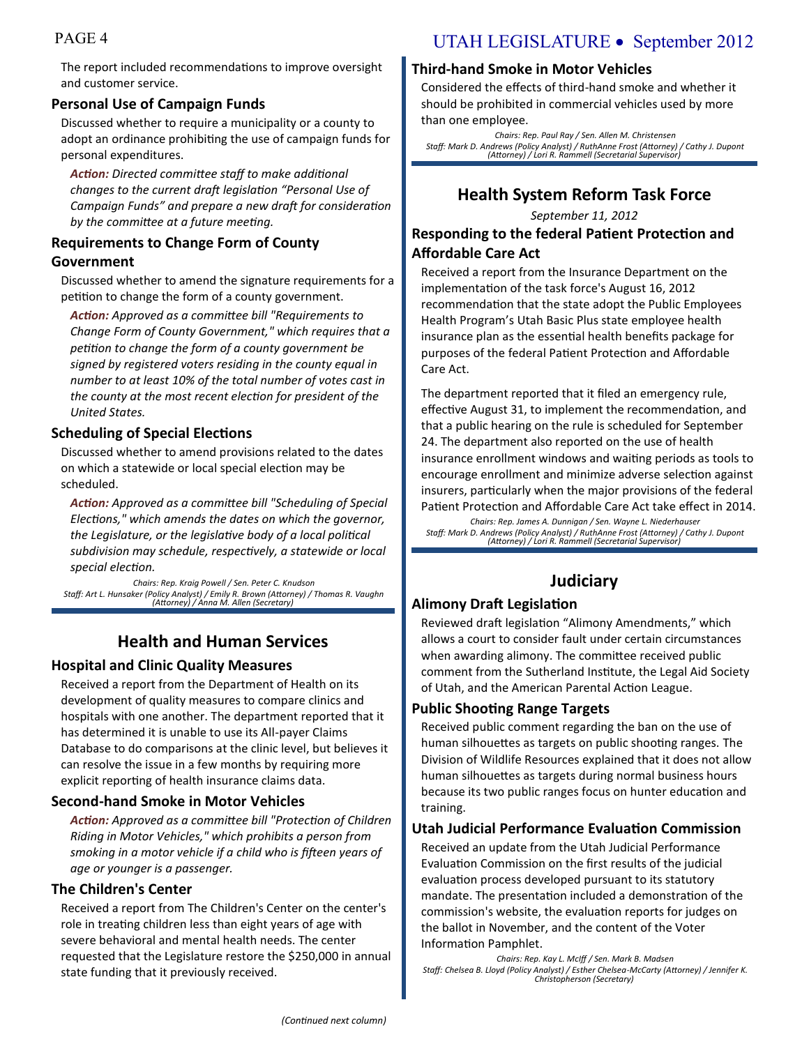The report included recommendations to improve oversight and customer service.

#### **Personal Use of Campaign Funds**

Discussed whether to require a municipality or a county to adopt an ordinance prohibiting the use of campaign funds for personal expenditures.

*Action: Directed committee staff to make additional changes to the current draft legislation "Personal Use of Campaign Funds" and prepare a new draft for consideration by the committee at a future meeting.*

#### **Requirements to Change Form of County**

#### **Government**

Discussed whether to amend the signature requirements for a petition to change the form of a county government.

*Action: Approved as a committee bill "Requirements to Change Form of County Government," which requires that a petition to change the form of a county government be signed by registered voters residing in the county equal in number to at least 10% of the total number of votes cast in the county at the most recent election for president of the United States.*

#### **Scheduling of Special Elections**

Discussed whether to amend provisions related to the dates on which a statewide or local special election may be scheduled.

*Action: Approved as a committee bill "Scheduling of Special Elections," which amends the dates on which the governor, the Legislature, or the legislative body of a local political subdivision may schedule, respectively, a statewide or local special election.*

*Chairs: Rep. Kraig Powell / Sen. Peter C. Knudson Staff: Art L. Hunsaker (Policy Analyst) / Emily R. Brown (Attorney) / Thomas R. Vaughn (Attorney) / Anna M. Allen (Secretary)*

## **Health and Human Services**

#### **Hospital and Clinic Quality Measures**

Received a report from the Department of Health on its development of quality measures to compare clinics and hospitals with one another. The department reported that it has determined it is unable to use its All-payer Claims Database to do comparisons at the clinic level, but believes it can resolve the issue in a few months by requiring more explicit reporting of health insurance claims data.

#### **Second-hand Smoke in Motor Vehicles**

*Action: Approved as a committee bill "Protection of Children Riding in Motor Vehicles," which prohibits a person from smoking in a motor vehicle if a child who is fifteen years of age or younger is a passenger.*

#### **The Children's Center**

Received a report from The Children's Center on the center's role in treating children less than eight years of age with severe behavioral and mental health needs. The center requested that the Legislature restore the \$250,000 in annual state funding that it previously received.

## PAGE 4 UTAH LEGISLATURE • September 2012

#### **Third-hand Smoke in Motor Vehicles**

Considered the effects of third-hand smoke and whether it should be prohibited in commercial vehicles used by more than one employee.

*Chairs: Rep. Paul Ray / Sen. Allen M. Christensen Staff: Mark D. Andrews (Policy Analyst) / RuthAnne Frost (Attorney) / Cathy J. Dupont (Attorney) / Lori R. Rammell (Secretarial Supervisor)*

## **Health System Reform Task Force**

*September 11, 2012*

#### **Responding to the federal Patient Protection and Affordable Care Act**

Received a report from the Insurance Department on the implementation of the task force's August 16, 2012 recommendation that the state adopt the Public Employees Health Program's Utah Basic Plus state employee health insurance plan as the essential health benefits package for purposes of the federal Patient Protection and Affordable Care Act.

The department reported that it filed an emergency rule, effective August 31, to implement the recommendation, and that a public hearing on the rule is scheduled for September 24. The department also reported on the use of health insurance enrollment windows and waiting periods as tools to encourage enrollment and minimize adverse selection against insurers, particularly when the major provisions of the federal Patient Protection and Affordable Care Act take effect in 2014.

*Chairs: Rep. James A. Dunnigan / Sen. Wayne L. Niederhauser Staff: Mark D. Andrews (Policy Analyst) / RuthAnne Frost (Attorney) / Cathy J. Dupont (Attorney) / Lori R. Rammell (Secretarial Supervisor)*

## **Judiciary**

#### **Alimony Draft Legislation**

Reviewed draft legislation "Alimony Amendments," which allows a court to consider fault under certain circumstances when awarding alimony. The committee received public comment from the Sutherland Institute, the Legal Aid Society of Utah, and the American Parental Action League.

#### **Public Shooting Range Targets**

Received public comment regarding the ban on the use of human silhouettes as targets on public shooting ranges. The Division of Wildlife Resources explained that it does not allow human silhouettes as targets during normal business hours because its two public ranges focus on hunter education and training.

#### **Utah Judicial Performance Evaluation Commission**

Received an update from the Utah Judicial Performance Evaluation Commission on the first results of the judicial evaluation process developed pursuant to its statutory mandate. The presentation included a demonstration of the commission's website, the evaluation reports for judges on the ballot in November, and the content of the Voter Information Pamphlet.

*Chairs: Rep. Kay L. McIff / Sen. Mark B. Madsen Staff: Chelsea B. Lloyd (Policy Analyst) / Esther Chelsea-McCarty (Attorney) / Jennifer K. Christopherson (Secretary)*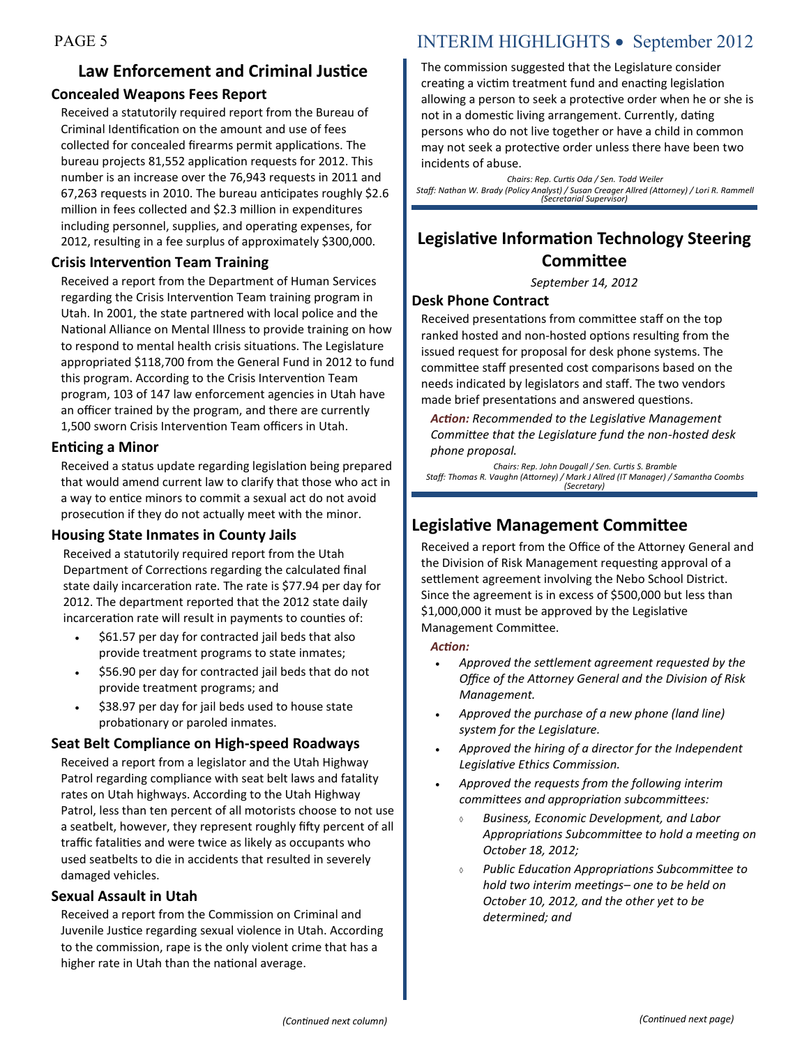## **Law Enforcement and Criminal Justice Concealed Weapons Fees Report**

Received a statutorily required report from the Bureau of Criminal Identification on the amount and use of fees collected for concealed firearms permit applications. The bureau projects 81,552 application requests for 2012. This number is an increase over the 76,943 requests in 2011 and 67,263 requests in 2010. The bureau anticipates roughly \$2.6 million in fees collected and \$2.3 million in expenditures including personnel, supplies, and operating expenses, for 2012, resulting in a fee surplus of approximately \$300,000.

#### **Crisis Intervention Team Training**

Received a report from the Department of Human Services regarding the Crisis Intervention Team training program in Utah. In 2001, the state partnered with local police and the National Alliance on Mental Illness to provide training on how to respond to mental health crisis situations. The Legislature appropriated \$118,700 from the General Fund in 2012 to fund this program. According to the Crisis Intervention Team program, 103 of 147 law enforcement agencies in Utah have an officer trained by the program, and there are currently 1,500 sworn Crisis Intervention Team officers in Utah.

#### **Enticing a Minor**

Received a status update regarding legislation being prepared that would amend current law to clarify that those who act in a way to entice minors to commit a sexual act do not avoid prosecution if they do not actually meet with the minor.

#### **Housing State Inmates in County Jails**

Received a statutorily required report from the Utah Department of Corrections regarding the calculated final state daily incarceration rate. The rate is \$77.94 per day for 2012. The department reported that the 2012 state daily incarceration rate will result in payments to counties of:

- \$61.57 per day for contracted jail beds that also provide treatment programs to state inmates;
- \$56.90 per day for contracted jail beds that do not provide treatment programs; and
- \$38.97 per day for jail beds used to house state probationary or paroled inmates.

### **Seat Belt Compliance on High-speed Roadways**

Received a report from a legislator and the Utah Highway Patrol regarding compliance with seat belt laws and fatality rates on Utah highways. According to the Utah Highway Patrol, less than ten percent of all motorists choose to not use a seatbelt, however, they represent roughly fifty percent of all traffic fatalities and were twice as likely as occupants who used seatbelts to die in accidents that resulted in severely damaged vehicles.

### **Sexual Assault in Utah**

Received a report from the Commission on Criminal and Juvenile Justice regarding sexual violence in Utah. According to the commission, rape is the only violent crime that has a higher rate in Utah than the national average.

## PAGE 5 INTERIM HIGHLIGHTS • September 2012

The commission suggested that the Legislature consider creating a victim treatment fund and enacting legislation allowing a person to seek a protective order when he or she is not in a domestic living arrangement. Currently, dating persons who do not live together or have a child in common may not seek a protective order unless there have been two incidents of abuse.

*Chairs: Rep. Curtis Oda / Sen. Todd Weiler Staff: Nathan W. Brady (Policy Analyst) / Susan Creager Allred (Attorney) / Lori R. Rammell (Secretarial Supervisor)*

## **Legislative Information Technology Steering Committee**

*September 14, 2012*

#### **Desk Phone Contract**

Received presentations from committee staff on the top ranked hosted and non-hosted options resulting from the issued request for proposal for desk phone systems. The committee staff presented cost comparisons based on the needs indicated by legislators and staff. The two vendors made brief presentations and answered questions.

*Action: Recommended to the Legislative Management Committee that the Legislature fund the non-hosted desk phone proposal.*

*Chairs: Rep. John Dougall / Sen. Curtis S. Bramble Staff: Thomas R. Vaughn (Attorney) / Mark J Allred (IT Manager) / Samantha Coombs (Secretary)*

## **Legislative Management Committee**

Received a report from the Office of the Attorney General and the Division of Risk Management requesting approval of a settlement agreement involving the Nebo School District. Since the agreement is in excess of \$500,000 but less than \$1,000,000 it must be approved by the Legislative Management Committee.

#### *Action:*

- *Approved the settlement agreement requested by the Office of the Attorney General and the Division of Risk Management.*
- *Approved the purchase of a new phone (land line) system for the Legislature.*
- *Approved the hiring of a director for the Independent Legislative Ethics Commission.*
- *Approved the requests from the following interim committees and appropriation subcommittees:*
	- *Business, Economic Development, and Labor Appropriations Subcommittee to hold a meeting on October 18, 2012;*
	- *Public Education Appropriations Subcommittee to hold two interim meetings– one to be held on October 10, 2012, and the other yet to be determined; and*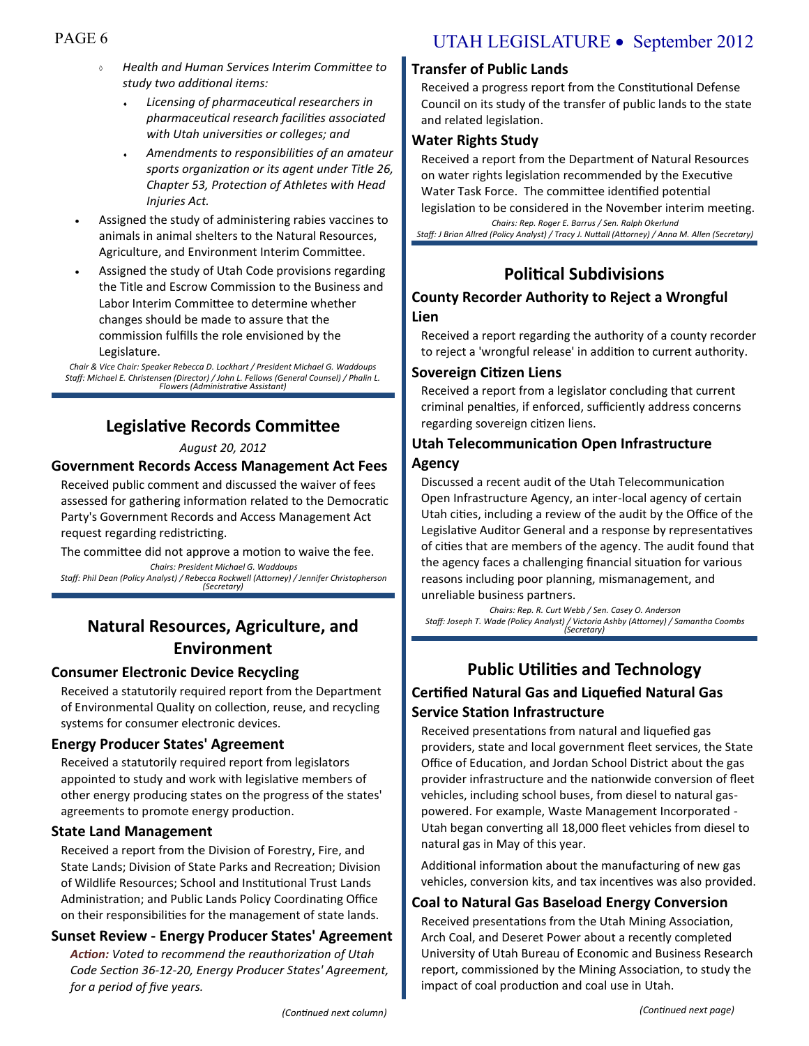- *Health and Human Services Interim Committee to study two additional items:*
	- *Licensing of pharmaceutical researchers in pharmaceutical research facilities associated with Utah universities or colleges; and*
	- *Amendments to responsibilities of an amateur sports organization or its agent under Title 26, Chapter 53, Protection of Athletes with Head Injuries Act.*
- Assigned the study of administering rabies vaccines to animals in animal shelters to the Natural Resources, Agriculture, and Environment Interim Committee.
- Assigned the study of Utah Code provisions regarding the Title and Escrow Commission to the Business and Labor Interim Committee to determine whether changes should be made to assure that the commission fulfills the role envisioned by the Legislature.

*Chair & Vice Chair: Speaker Rebecca D. Lockhart / President Michael G. Waddoups Staff: Michael E. Christensen (Director) / John L. Fellows (General Counsel) / Phalin L. Flowers (Administrative Assistant)*

## **Legislative Records Committee**

#### *August 20, 2012*

#### **Government Records Access Management Act Fees**

Received public comment and discussed the waiver of fees assessed for gathering information related to the Democratic Party's Government Records and Access Management Act request regarding redistricting.

The committee did not approve a motion to waive the fee.

*Chairs: President Michael G. Waddoups Staff: Phil Dean (Policy Analyst) / Rebecca Rockwell (Attorney) / Jennifer Christopherson (Secretary)* 

## **Natural Resources, Agriculture, and Environment**

#### **Consumer Electronic Device Recycling**

Received a statutorily required report from the Department of Environmental Quality on collection, reuse, and recycling systems for consumer electronic devices.

#### **Energy Producer States' Agreement**

Received a statutorily required report from legislators appointed to study and work with legislative members of other energy producing states on the progress of the states' agreements to promote energy production.

#### **State Land Management**

Received a report from the Division of Forestry, Fire, and State Lands; Division of State Parks and Recreation; Division of Wildlife Resources; School and Institutional Trust Lands Administration; and Public Lands Policy Coordinating Office on their responsibilities for the management of state lands.

#### **Sunset Review - Energy Producer States' Agreement**

*Action: Voted to recommend the reauthorization of Utah Code Section 36-12-20, Energy Producer States' Agreement, for a period of five years.*

### **Transfer of Public Lands**

Received a progress report from the Constitutional Defense Council on its study of the transfer of public lands to the state and related legislation.

#### **Water Rights Study**

Received a report from the Department of Natural Resources on water rights legislation recommended by the Executive Water Task Force. The committee identified potential legislation to be considered in the November interim meeting. *Chairs: Rep. Roger E. Barrus / Sen. Ralph Okerlund*

*Staff: J Brian Allred (Policy Analyst) / Tracy J. Nuttall (Attorney) / Anna M. Allen (Secretary)*

## **Political Subdivisions**

#### **County Recorder Authority to Reject a Wrongful Lien**

Received a report regarding the authority of a county recorder to reject a 'wrongful release' in addition to current authority.

#### **Sovereign Citizen Liens**

Received a report from a legislator concluding that current criminal penalties, if enforced, sufficiently address concerns regarding sovereign citizen liens.

## **Utah Telecommunication Open Infrastructure**

#### **Agency**

Discussed a recent audit of the Utah Telecommunication Open Infrastructure Agency, an inter-local agency of certain Utah cities, including a review of the audit by the Office of the Legislative Auditor General and a response by representatives of cities that are members of the agency. The audit found that the agency faces a challenging financial situation for various reasons including poor planning, mismanagement, and unreliable business partners.

*Chairs: Rep. R. Curt Webb / Sen. Casey O. Anderson Staff: Joseph T. Wade (Policy Analyst) / Victoria Ashby (Attorney) / Samantha Coombs (Secretary)*

## **Public Utilities and Technology Certified Natural Gas and Liquefied Natural Gas Service Station Infrastructure**

Received presentations from natural and liquefied gas providers, state and local government fleet services, the State Office of Education, and Jordan School District about the gas provider infrastructure and the nationwide conversion of fleet vehicles, including school buses, from diesel to natural gaspowered. For example, Waste Management Incorporated - Utah began converting all 18,000 fleet vehicles from diesel to natural gas in May of this year.

Additional information about the manufacturing of new gas vehicles, conversion kits, and tax incentives was also provided.

#### **Coal to Natural Gas Baseload Energy Conversion**

Received presentations from the Utah Mining Association, Arch Coal, and Deseret Power about a recently completed University of Utah Bureau of Economic and Business Research report, commissioned by the Mining Association, to study the impact of coal production and coal use in Utah.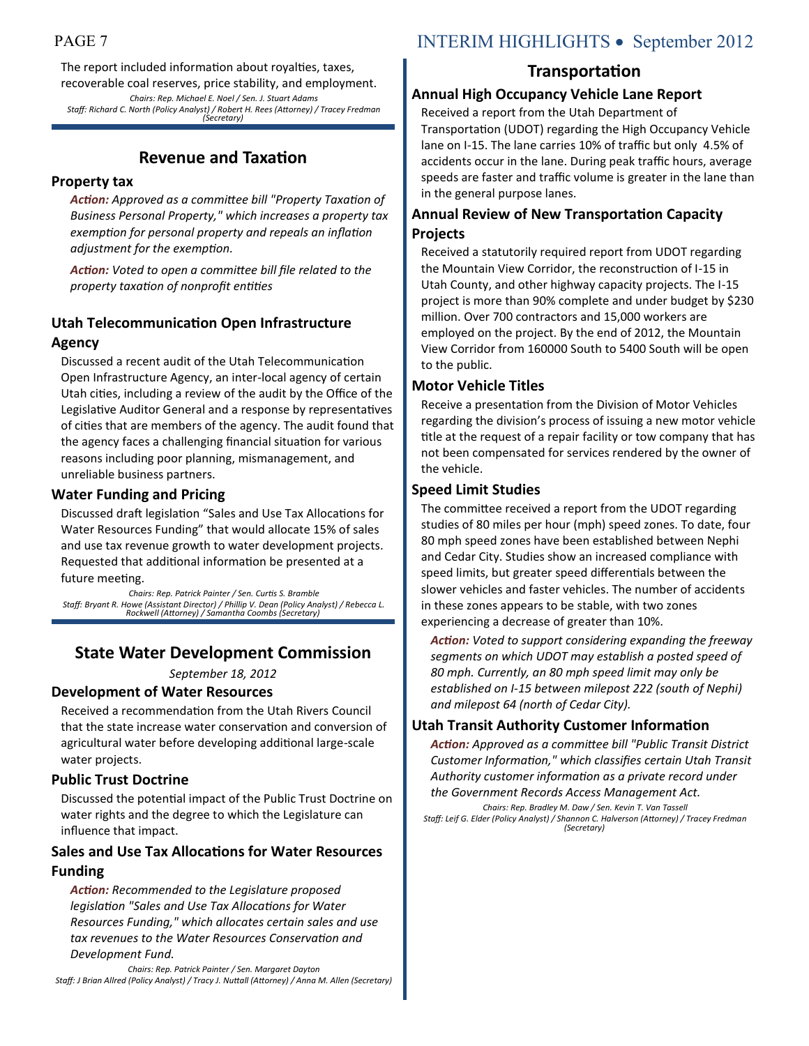The report included information about royalties, taxes, recoverable coal reserves, price stability, and employment. *Chairs: Rep. Michael E. Noel / Sen. J. Stuart Adams Staff: Richard C. North (Policy Analyst) / Robert H. Rees (Attorney) / Tracey Fredman (Secretary)*

## **Revenue and Taxation**

#### **Property tax**

*Action: Approved as a committee bill "Property Taxation of Business Personal Property," which increases a property tax exemption for personal property and repeals an inflation adjustment for the exemption.* 

*Action: Voted to open a committee bill file related to the property taxation of nonprofit entities* 

#### **Utah Telecommunication Open Infrastructure Agency**

Discussed a recent audit of the Utah Telecommunication Open Infrastructure Agency, an inter-local agency of certain Utah cities, including a review of the audit by the Office of the Legislative Auditor General and a response by representatives of cities that are members of the agency. The audit found that the agency faces a challenging financial situation for various reasons including poor planning, mismanagement, and unreliable business partners.

#### **Water Funding and Pricing**

Discussed draft legislation "Sales and Use Tax Allocations for Water Resources Funding" that would allocate 15% of sales and use tax revenue growth to water development projects. Requested that additional information be presented at a future meeting.

*Chairs: Rep. Patrick Painter / Sen. Curtis S. Bramble Staff: Bryant R. Howe (Assistant Director) / Phillip V. Dean (Policy Analyst) / Rebecca L. Rockwell (Attorney) / Samantha Coombs (Secretary)*

## **State Water Development Commission**

*September 18, 2012*

#### **Development of Water Resources**

Received a recommendation from the Utah Rivers Council that the state increase water conservation and conversion of agricultural water before developing additional large-scale water projects.

#### **Public Trust Doctrine**

Discussed the potential impact of the Public Trust Doctrine on water rights and the degree to which the Legislature can influence that impact.

#### **Sales and Use Tax Allocations for Water Resources Funding**

*Action: Recommended to the Legislature proposed legislation "Sales and Use Tax Allocations for Water Resources Funding," which allocates certain sales and use tax revenues to the Water Resources Conservation and Development Fund.*

*Chairs: Rep. Patrick Painter / Sen. Margaret Dayton Staff: J Brian Allred (Policy Analyst) / Tracy J. Nuttall (Attorney) / Anna M. Allen (Secretary)*

## PAGE 7 INTERIM HIGHLIGHTS • September 2012

### **Transportation**

#### **Annual High Occupancy Vehicle Lane Report**

Received a report from the Utah Department of Transportation (UDOT) regarding the High Occupancy Vehicle lane on I-15. The lane carries 10% of traffic but only 4.5% of accidents occur in the lane. During peak traffic hours, average speeds are faster and traffic volume is greater in the lane than in the general purpose lanes.

#### **Annual Review of New Transportation Capacity Projects**

Received a statutorily required report from UDOT regarding the Mountain View Corridor, the reconstruction of I-15 in Utah County, and other highway capacity projects. The I-15 project is more than 90% complete and under budget by \$230 million. Over 700 contractors and 15,000 workers are employed on the project. By the end of 2012, the Mountain View Corridor from 160000 South to 5400 South will be open to the public.

#### **Motor Vehicle Titles**

Receive a presentation from the Division of Motor Vehicles regarding the division's process of issuing a new motor vehicle title at the request of a repair facility or tow company that has not been compensated for services rendered by the owner of the vehicle.

#### **Speed Limit Studies**

The committee received a report from the UDOT regarding studies of 80 miles per hour (mph) speed zones. To date, four 80 mph speed zones have been established between Nephi and Cedar City. Studies show an increased compliance with speed limits, but greater speed differentials between the slower vehicles and faster vehicles. The number of accidents in these zones appears to be stable, with two zones experiencing a decrease of greater than 10%.

*Action: Voted to support considering expanding the freeway segments on which UDOT may establish a posted speed of 80 mph. Currently, an 80 mph speed limit may only be established on I-15 between milepost 222 (south of Nephi) and milepost 64 (north of Cedar City).*

#### **Utah Transit Authority Customer Information**

*Action: Approved as a committee bill "Public Transit District Customer Information," which classifies certain Utah Transit Authority customer information as a private record under the Government Records Access Management Act.*

*Chairs: Rep. Bradley M. Daw / Sen. Kevin T. Van Tassell Staff: Leif G. Elder (Policy Analyst) / Shannon C. Halverson (Attorney) / Tracey Fredman (Secretary)*